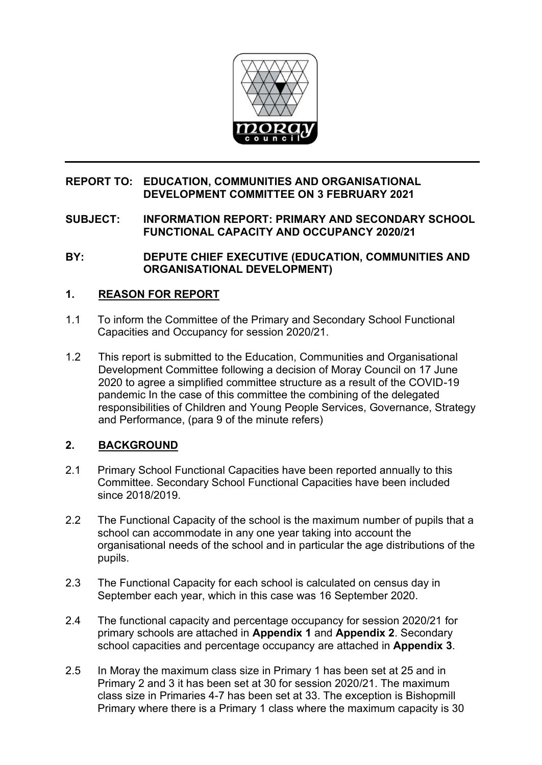

## **REPORT TO: EDUCATION, COMMUNITIES AND ORGANISATIONAL DEVELOPMENT COMMITTEE ON 3 FEBRUARY 2021**

## **SUBJECT: INFORMATION REPORT: PRIMARY AND SECONDARY SCHOOL FUNCTIONAL CAPACITY AND OCCUPANCY 2020/21**

### **BY: DEPUTE CHIEF EXECUTIVE (EDUCATION, COMMUNITIES AND ORGANISATIONAL DEVELOPMENT)**

# **1. REASON FOR REPORT**

- 1.1 To inform the Committee of the Primary and Secondary School Functional Capacities and Occupancy for session 2020/21.
- 1.2 This report is submitted to the Education, Communities and Organisational Development Committee following a decision of Moray Council on 17 June 2020 to agree a simplified committee structure as a result of the COVID-19 pandemic In the case of this committee the combining of the delegated responsibilities of Children and Young People Services, Governance, Strategy and Performance, (para 9 of the minute refers)

# **2. BACKGROUND**

- 2.1 Primary School Functional Capacities have been reported annually to this Committee. Secondary School Functional Capacities have been included since 2018/2019.
- 2.2 The Functional Capacity of the school is the maximum number of pupils that a school can accommodate in any one year taking into account the organisational needs of the school and in particular the age distributions of the pupils.
- 2.3 The Functional Capacity for each school is calculated on census day in September each year, which in this case was 16 September 2020.
- 2.4 The functional capacity and percentage occupancy for session 2020/21 for primary schools are attached in **Appendix 1** and **Appendix 2**. Secondary school capacities and percentage occupancy are attached in **Appendix 3**.
- 2.5 In Moray the maximum class size in Primary 1 has been set at 25 and in Primary 2 and 3 it has been set at 30 for session 2020/21. The maximum class size in Primaries 4-7 has been set at 33. The exception is Bishopmill Primary where there is a Primary 1 class where the maximum capacity is 30